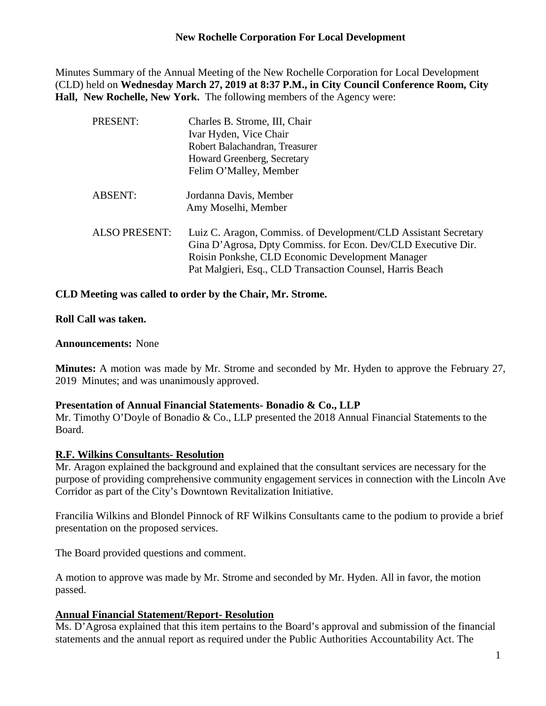## **New Rochelle Corporation For Local Development**

Minutes Summary of the Annual Meeting of the New Rochelle Corporation for Local Development (CLD) held on **Wednesday March 27, 2019 at 8:37 P.M., in City Council Conference Room, City Hall, New Rochelle, New York.** The following members of the Agency were:

| Charles B. Strome, III, Chair                                                                                                                                                                                                                     |                        |
|---------------------------------------------------------------------------------------------------------------------------------------------------------------------------------------------------------------------------------------------------|------------------------|
| Ivar Hyden, Vice Chair<br>Robert Balachandran, Treasurer<br>Howard Greenberg, Secretary                                                                                                                                                           |                        |
|                                                                                                                                                                                                                                                   | Felim O'Malley, Member |
|                                                                                                                                                                                                                                                   | Jordanna Davis, Member |
| Amy Moselhi, Member                                                                                                                                                                                                                               |                        |
| Luiz C. Aragon, Commiss. of Development/CLD Assistant Secretary<br>Gina D'Agrosa, Dpty Commiss. for Econ. Dev/CLD Executive Dir.<br>Roisin Ponkshe, CLD Economic Development Manager<br>Pat Malgieri, Esq., CLD Transaction Counsel, Harris Beach |                        |
|                                                                                                                                                                                                                                                   |                        |

## **CLD Meeting was called to order by the Chair, Mr. Strome.**

#### **Roll Call was taken.**

#### **Announcements:** None

**Minutes:** A motion was made by Mr. Strome and seconded by Mr. Hyden to approve the February 27, 2019 Minutes; and was unanimously approved.

#### **Presentation of Annual Financial Statements- Bonadio & Co., LLP**

Mr. Timothy O'Doyle of Bonadio & Co., LLP presented the 2018 Annual Financial Statements to the Board.

#### **R.F. Wilkins Consultants- Resolution**

Mr. Aragon explained the background and explained that the consultant services are necessary for the purpose of providing comprehensive community engagement services in connection with the Lincoln Ave Corridor as part of the City's Downtown Revitalization Initiative.

Francilia Wilkins and Blondel Pinnock of RF Wilkins Consultants came to the podium to provide a brief presentation on the proposed services.

The Board provided questions and comment.

A motion to approve was made by Mr. Strome and seconded by Mr. Hyden. All in favor, the motion passed.

## **Annual Financial Statement/Report- Resolution**

Ms. D'Agrosa explained that this item pertains to the Board's approval and submission of the financial statements and the annual report as required under the Public Authorities Accountability Act. The